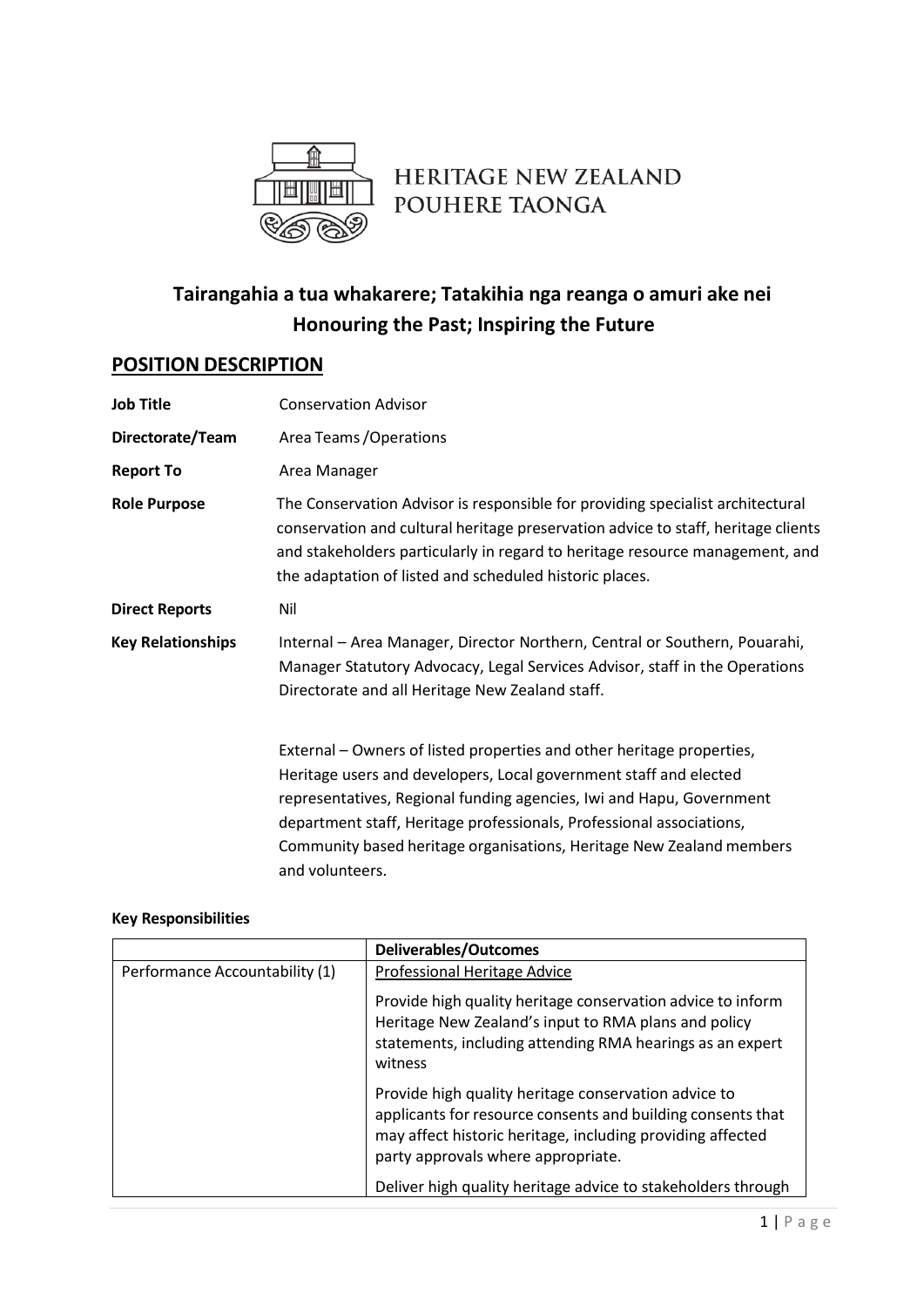

# HERITAGE NEW ZEALAND POUHERE TAONGA

## **Tairangahia a tua whakarere; Tatakihia nga reanga o amuri ake nei Honouring the Past; Inspiring the Future**

## **POSITION DESCRIPTION**

| <b>Job Title</b>         | <b>Conservation Advisor</b>                                                                                                                                                                                                                                                                                                                                                           |  |
|--------------------------|---------------------------------------------------------------------------------------------------------------------------------------------------------------------------------------------------------------------------------------------------------------------------------------------------------------------------------------------------------------------------------------|--|
| Directorate/Team         | Area Teams / Operations                                                                                                                                                                                                                                                                                                                                                               |  |
| <b>Report To</b>         | Area Manager                                                                                                                                                                                                                                                                                                                                                                          |  |
| <b>Role Purpose</b>      | The Conservation Advisor is responsible for providing specialist architectural<br>conservation and cultural heritage preservation advice to staff, heritage clients<br>and stakeholders particularly in regard to heritage resource management, and<br>the adaptation of listed and scheduled historic places.                                                                        |  |
| <b>Direct Reports</b>    | Nil                                                                                                                                                                                                                                                                                                                                                                                   |  |
| <b>Key Relationships</b> | Internal - Area Manager, Director Northern, Central or Southern, Pouarahi,<br>Manager Statutory Advocacy, Legal Services Advisor, staff in the Operations<br>Directorate and all Heritage New Zealand staff.                                                                                                                                                                          |  |
|                          | External – Owners of listed properties and other heritage properties,<br>Heritage users and developers, Local government staff and elected<br>representatives, Regional funding agencies, Iwi and Hapu, Government<br>department staff, Heritage professionals, Professional associations,<br>Community based heritage organisations, Heritage New Zealand members<br>and volunteers. |  |

#### **Key Responsibilities**

|                                | <b>Deliverables/Outcomes</b>                                                                                                                                                                                            |
|--------------------------------|-------------------------------------------------------------------------------------------------------------------------------------------------------------------------------------------------------------------------|
| Performance Accountability (1) | Professional Heritage Advice                                                                                                                                                                                            |
|                                | Provide high quality heritage conservation advice to inform<br>Heritage New Zealand's input to RMA plans and policy<br>statements, including attending RMA hearings as an expert<br>witness                             |
|                                | Provide high quality heritage conservation advice to<br>applicants for resource consents and building consents that<br>may affect historic heritage, including providing affected<br>party approvals where appropriate. |
|                                | Deliver high quality heritage advice to stakeholders through                                                                                                                                                            |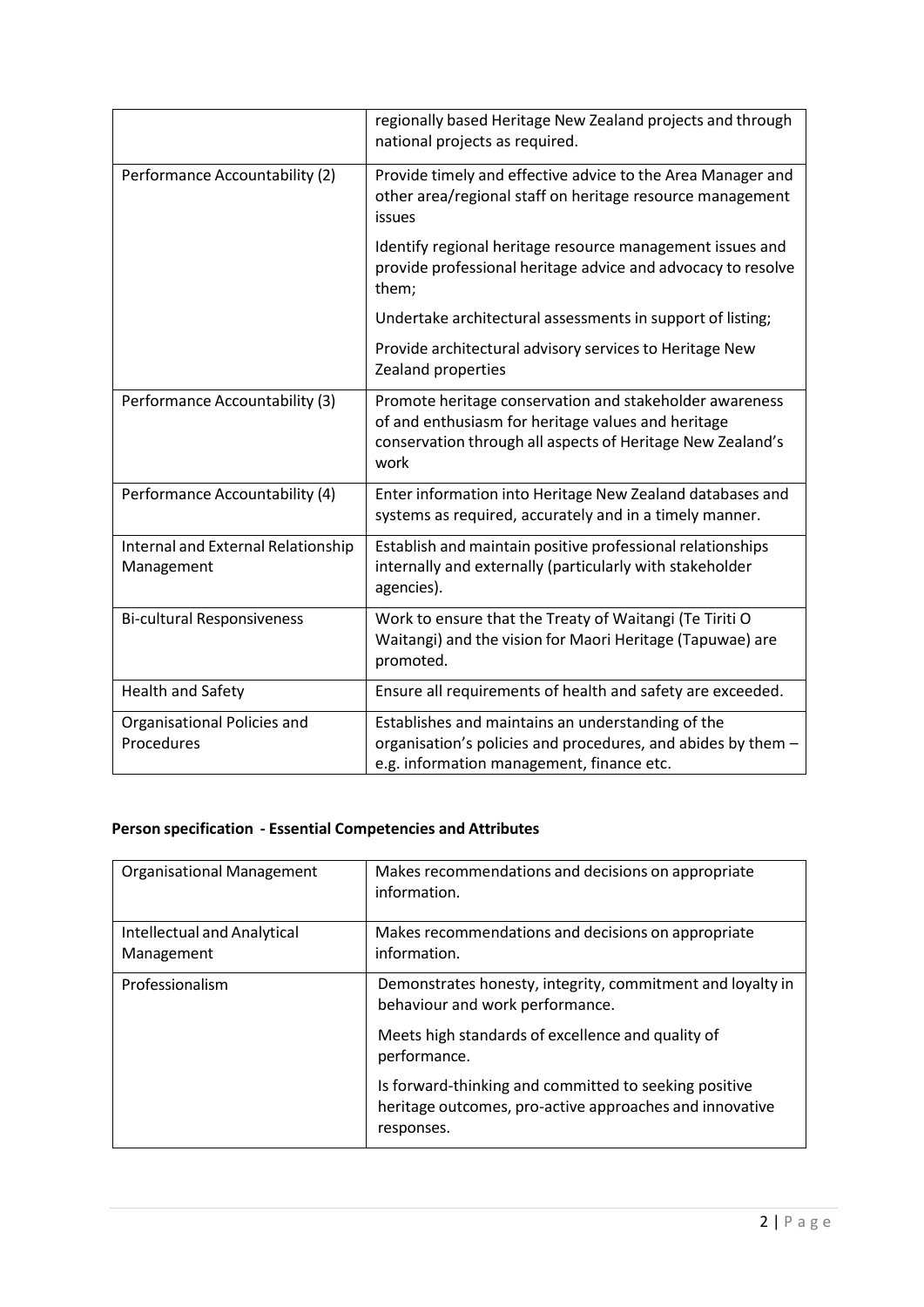|                                                  | regionally based Heritage New Zealand projects and through<br>national projects as required.                                                                                        |
|--------------------------------------------------|-------------------------------------------------------------------------------------------------------------------------------------------------------------------------------------|
| Performance Accountability (2)                   | Provide timely and effective advice to the Area Manager and<br>other area/regional staff on heritage resource management<br>issues                                                  |
|                                                  | Identify regional heritage resource management issues and<br>provide professional heritage advice and advocacy to resolve<br>them;                                                  |
|                                                  | Undertake architectural assessments in support of listing;                                                                                                                          |
|                                                  | Provide architectural advisory services to Heritage New<br>Zealand properties                                                                                                       |
| Performance Accountability (3)                   | Promote heritage conservation and stakeholder awareness<br>of and enthusiasm for heritage values and heritage<br>conservation through all aspects of Heritage New Zealand's<br>work |
| Performance Accountability (4)                   | Enter information into Heritage New Zealand databases and<br>systems as required, accurately and in a timely manner.                                                                |
| Internal and External Relationship<br>Management | Establish and maintain positive professional relationships<br>internally and externally (particularly with stakeholder<br>agencies).                                                |
| <b>Bi-cultural Responsiveness</b>                | Work to ensure that the Treaty of Waitangi (Te Tiriti O<br>Waitangi) and the vision for Maori Heritage (Tapuwae) are<br>promoted.                                                   |
| <b>Health and Safety</b>                         | Ensure all requirements of health and safety are exceeded.                                                                                                                          |
| Organisational Policies and<br>Procedures        | Establishes and maintains an understanding of the<br>organisation's policies and procedures, and abides by them -<br>e.g. information management, finance etc.                      |

## **Person specification - Essential Competencies and Attributes**

| <b>Organisational Management</b>          | Makes recommendations and decisions on appropriate<br>information.                                                             |
|-------------------------------------------|--------------------------------------------------------------------------------------------------------------------------------|
| Intellectual and Analytical<br>Management | Makes recommendations and decisions on appropriate<br>information.                                                             |
| Professionalism                           | Demonstrates honesty, integrity, commitment and loyalty in<br>behaviour and work performance.                                  |
|                                           | Meets high standards of excellence and quality of<br>performance.                                                              |
|                                           | Is forward-thinking and committed to seeking positive<br>heritage outcomes, pro-active approaches and innovative<br>responses. |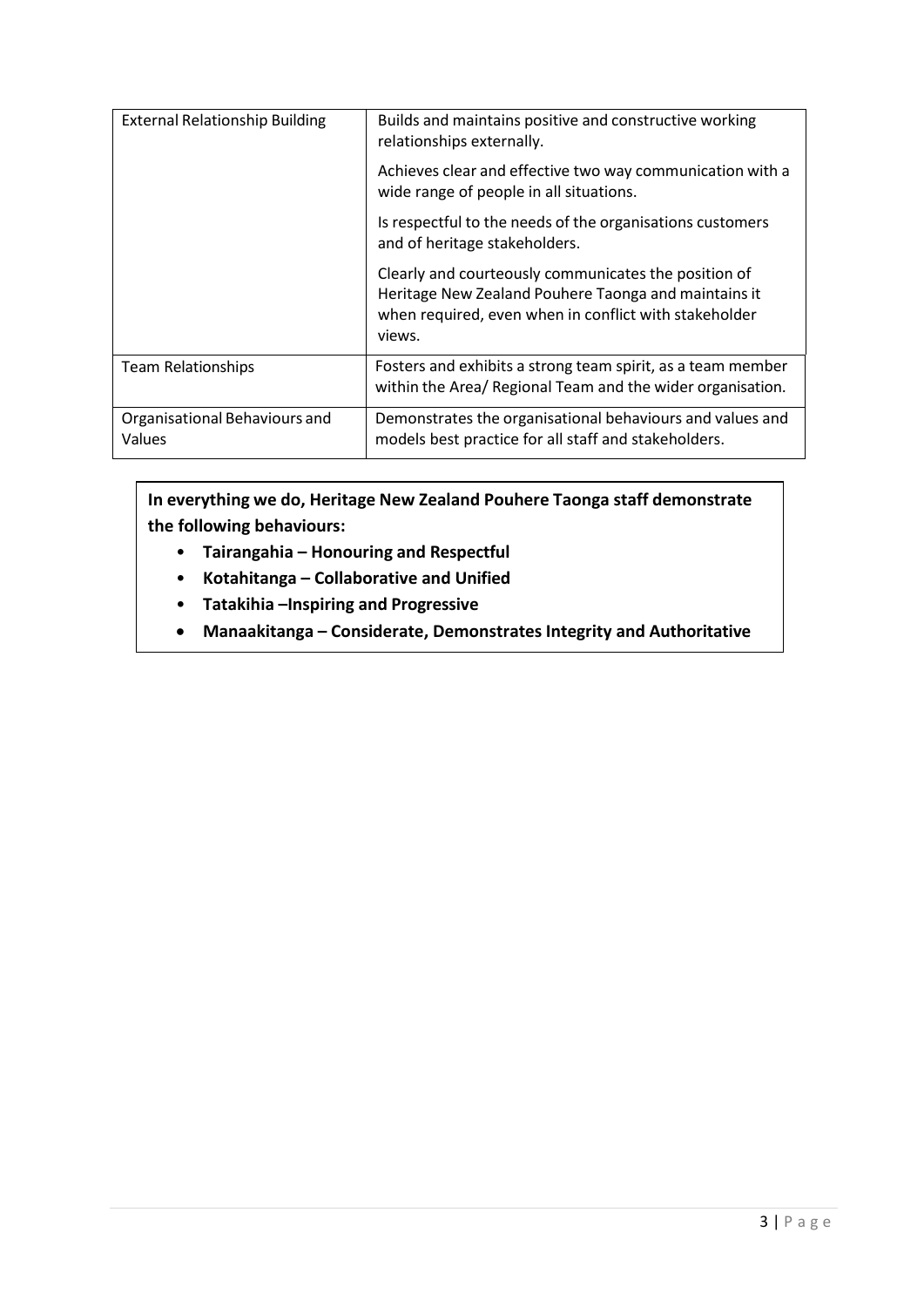| <b>External Relationship Building</b>   | Builds and maintains positive and constructive working<br>relationships externally.                                                                                             |
|-----------------------------------------|---------------------------------------------------------------------------------------------------------------------------------------------------------------------------------|
|                                         | Achieves clear and effective two way communication with a<br>wide range of people in all situations.                                                                            |
|                                         | Is respectful to the needs of the organisations customers<br>and of heritage stakeholders.                                                                                      |
|                                         | Clearly and courteously communicates the position of<br>Heritage New Zealand Pouhere Taonga and maintains it<br>when required, even when in conflict with stakeholder<br>views. |
| <b>Team Relationships</b>               | Fosters and exhibits a strong team spirit, as a team member<br>within the Area/ Regional Team and the wider organisation.                                                       |
| Organisational Behaviours and<br>Values | Demonstrates the organisational behaviours and values and<br>models best practice for all staff and stakeholders.                                                               |

## **In everything we do, Heritage New Zealand Pouhere Taonga staff demonstrate the following behaviours:**

- **Tairangahia – Honouring and Respectful**
- **Kotahitanga – Collaborative and Unified**
- **Tatakihia –Inspiring and Progressive**
- **Manaakitanga – Considerate, Demonstrates Integrity and Authoritative**